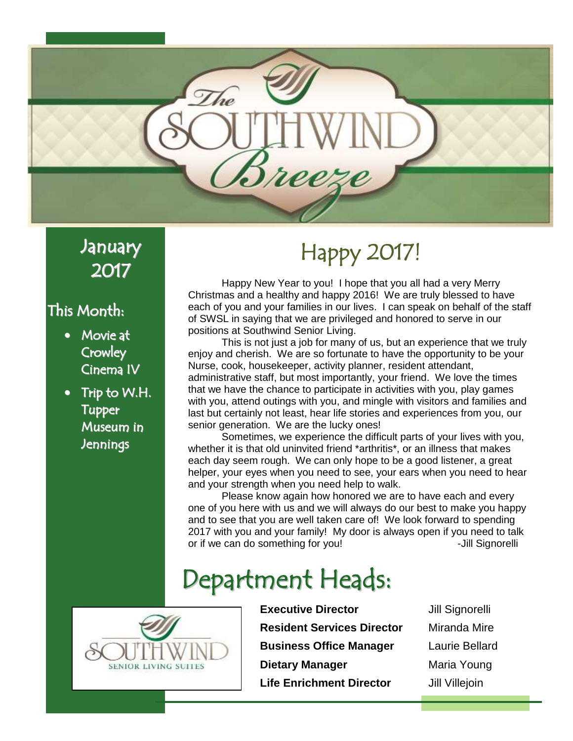

#### January 2017

#### This Month:

- Movie at **Crowley** Cinema IV
- Trip to W.H. Tupper Museum in Jennings

# Happy 2017!

Happy New Year to you! I hope that you all had a very Merry Christmas and a healthy and happy 2016! We are truly blessed to have each of you and your families in our lives. I can speak on behalf of the staff of SWSL in saying that we are privileged and honored to serve in our positions at Southwind Senior Living.

This is not just a job for many of us, but an experience that we truly enjoy and cherish. We are so fortunate to have the opportunity to be your Nurse, cook, housekeeper, activity planner, resident attendant, administrative staff, but most importantly, your friend. We love the times that we have the chance to participate in activities with you, play games with you, attend outings with you, and mingle with visitors and families and last but certainly not least, hear life stories and experiences from you, our senior generation. We are the lucky ones!

Sometimes, we experience the difficult parts of your lives with you, whether it is that old uninvited friend \*arthritis\*, or an illness that makes each day seem rough. We can only hope to be a good listener, a great helper, your eyes when you need to see, your ears when you need to hear and your strength when you need help to walk.

Please know again how honored we are to have each and every one of you here with us and we will always do our best to make you happy and to see that you are well taken care of! We look forward to spending 2017 with you and your family! My door is always open if you need to talk or if we can do something for you!  $\sim$  -Jill Signorelli

# Department Heads:



**Executive Director** Jill Signorelli **Resident Services Director** Miranda Mire **Business Office Manager** Laurie Bellard **Dietary Manager** Maria Young **Life Enrichment Director** Jill Villejoin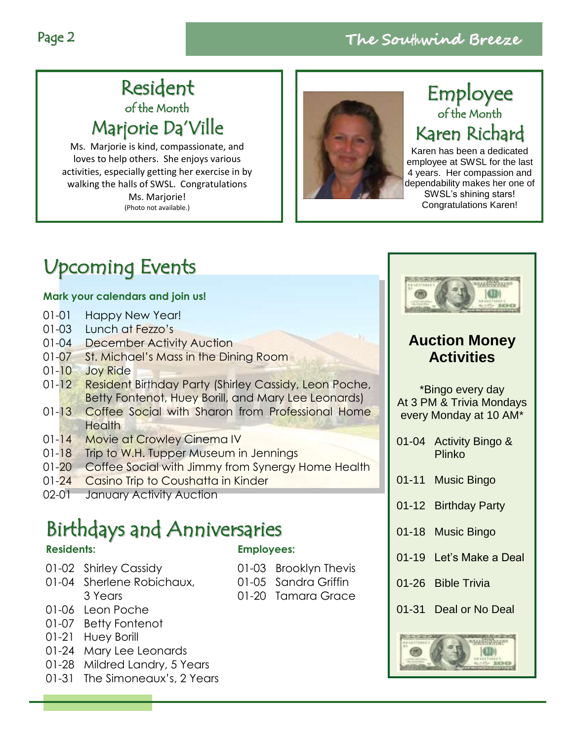#### Resident of the Month Marjorie Da'Ville

Ms. Marjorie is kind, compassionate, and loves to help others. She enjoys various activities, especially getting her exercise in by walking the halls of SWSL. Congratulations Ms. Mariorie! (Photo not available.)



#### Employee of the Month Karen Richard

Karen has been a dedicated employee at SWSL for the last 4 years. Her compassion and dependability makes her one of SWSL's shining stars! Congratulations Karen!

## Upcoming Events

#### **Mark your calendars and join us!**

- 01-01 Happy New Year!
- 01-03 Lunch at Fezzo's
- 01-04 December Activity Auction
- 01-07 St. Michael's Mass in the Dining Room
- 01-10 Joy Ride
- 01-12 Resident Birthday Party (Shirley Cassidy, Leon Poche, Betty Fontenot, Huey Borill, and Mary Lee Leonards)
- 01-13 Coffee Social with Sharon from Professional Home **Health**
- 01-14 Movie at Crowley Cinema IV
- 01-18 Trip to W.H. Tupper Museum in Jennings
- 01-20 Coffee Social with Jimmy from Synergy Home Health
- 01-24 Casino Trip to Coushatta in Kinder
- 02-01 January Activity Auction

## Birthdays and Anniversaries

#### **Residents:**

- 01-02 Shirley Cassidy
- 01-04 Sherlene Robichaux, 3 Years
- 01-06 Leon Poche
- 01-07 Betty Fontenot
- 01-21 Huey Borill
- 01-24 Mary Lee Leonards
- 01-28 Mildred Landry, 5 Years
- 01-31 The Simoneaux's, 2 Years

#### **Employees:**

- 01-03 Brooklyn Thevis
- 01-05 Sandra Griffin
- 01-20 Tamara Grace



#### **Auction Money Activities**

\*Bingo every day At 3 PM & Trivia Mondays every Monday at 10 AM\*

01-04 Activity Bingo & Plinko

- 01-11 Music Bingo
- 01-12 Birthday Party
- 01-18 Music Bingo
- 01-19 Let's Make a Deal
- 01-26 Bible Trivia
- 01-31 Deal or No Deal

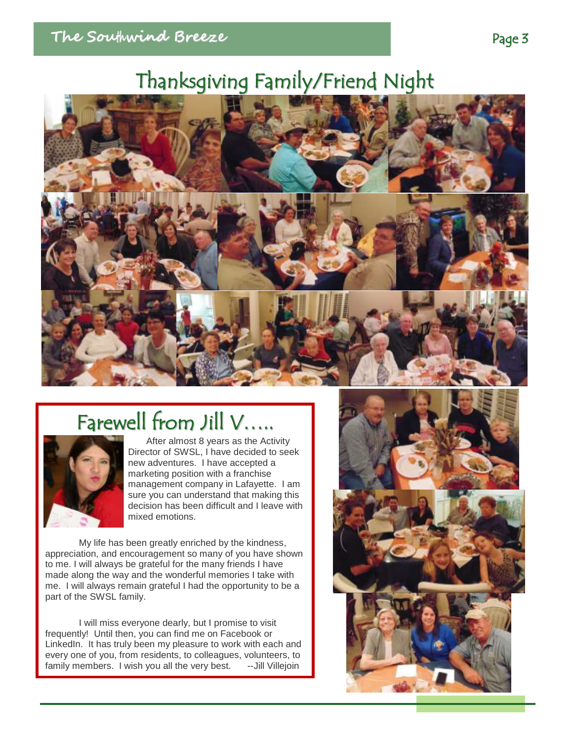## Thanksgiving Family/Friend Night



# Farewell from Jill V…..



After almost 8 years as the Activity Director of SWSL, I have decided to seek new adventures. I have accepted a marketing position with a franchise management company in Lafayette. I am sure you can understand that making this decision has been difficult and I leave with mixed emotions.

My life has been greatly enriched by the kindness, appreciation, and encouragement so many of you have shown to me. I will always be grateful for the many friends I have made along the way and the wonderful memories I take with me. I will always remain grateful I had the opportunity to be a part of the SWSL family.

I will miss everyone dearly, but I promise to visit frequently! Until then, you can find me on Facebook or LinkedIn. It has truly been my pleasure to work with each and every one of you, from residents, to colleagues, volunteers, to family members. I wish you all the very best. --Jill Villejoin

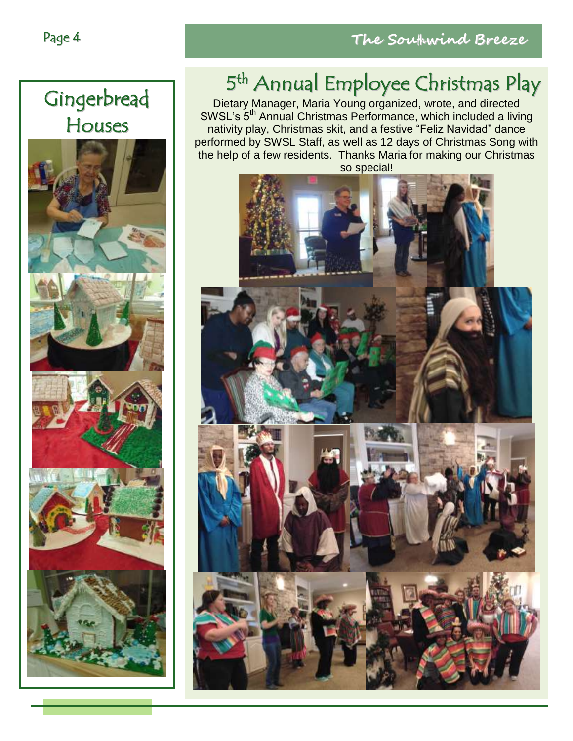

## 5<sup>th</sup> Annual Employee Christmas Play

Dietary Manager, Maria Young organized, wrote, and directed SWSL's 5<sup>th</sup> Annual Christmas Performance, which included a living nativity play, Christmas skit, and a festive "Feliz Navidad" dance performed by SWSL Staff, as well as 12 days of Christmas Song with the help of a few residents. Thanks Maria for making our Christmas

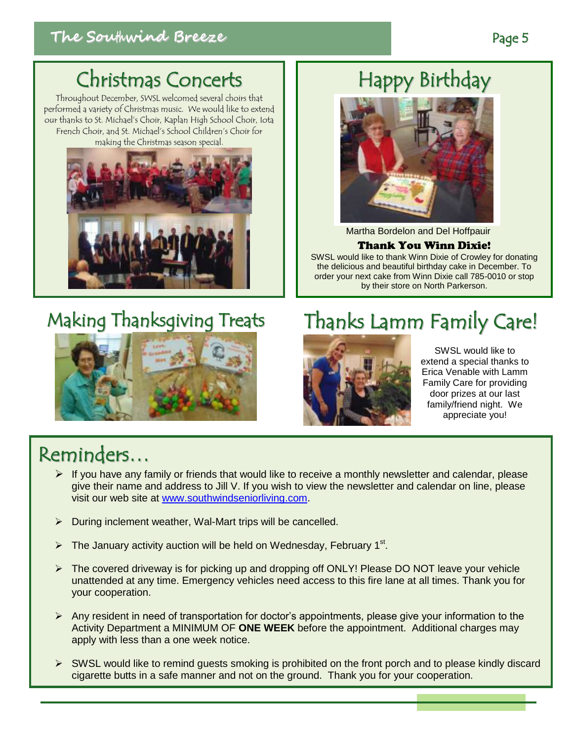## Christmas Concerts

Throughout December, SWSL welcomed several choirs that performed a variety of Christmas music. We would like to extend our thanks to St. Michael's Choir, Kaplan High School Choir, Iota French Choir, and St. Michael's School Children's Choir for making the Christmas season special.



### Making Thanksgiving Treats



SWSL would like to extend a special thanks to Erica Venable with Lamm Family Care for providing door prizes at our last family/friend night. We appreciate you!

#### Reminders…

- $\triangleright$  If you have any family or friends that would like to receive a monthly newsletter and calendar, please give their name and address to Jill V. If you wish to view the newsletter and calendar on line, please visit our web site at [www.southwindseniorliving.com.](http://www.southwindseniorliving.com/)
- $\triangleright$  During inclement weather, Wal-Mart trips will be cancelled.
- $\triangleright$  The January activity auction will be held on Wednesday, February 1<sup>st</sup>.
- $\triangleright$  The covered driveway is for picking up and dropping off ONLY! Please DO NOT leave your vehicle unattended at any time. Emergency vehicles need access to this fire lane at all times. Thank you for your cooperation.
- $\triangleright$  Any resident in need of transportation for doctor's appointments, please give your information to the Activity Department a MINIMUM OF **ONE WEEK** before the appointment. Additional charges may apply with less than a one week notice.
- SWSL would like to remind guests smoking is prohibited on the front porch and to please kindly discard cigarette butts in a safe manner and not on the ground. Thank you for your cooperation.

### Happy Birthday



Martha Bordelon and Del Hoffpauir

#### Thank You Winn Dixie!

SWSL would like to thank Winn Dixie of Crowley for donating the delicious and beautiful birthday cake in December. To order your next cake from Winn Dixie call 785-0010 or stop by their store on North Parkerson.

Thanks Lamm Family Care!